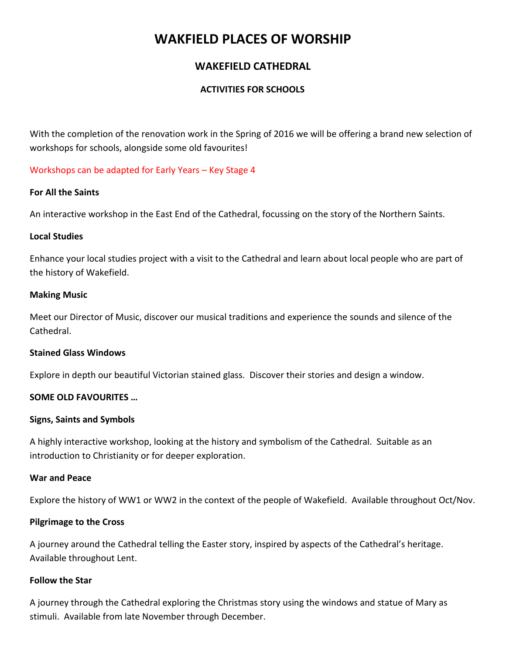# **WAKFIELD PLACES OF WORSHIP**

# **WAKEFIELD CATHEDRAL**

## **ACTIVITIES FOR SCHOOLS**

With the completion of the renovation work in the Spring of 2016 we will be offering a brand new selection of workshops for schools, alongside some old favourites!

## Workshops can be adapted for Early Years – Key Stage 4

#### **For All the Saints**

An interactive workshop in the East End of the Cathedral, focussing on the story of the Northern Saints.

## **Local Studies**

Enhance your local studies project with a visit to the Cathedral and learn about local people who are part of the history of Wakefield.

#### **Making Music**

Meet our Director of Music, discover our musical traditions and experience the sounds and silence of the Cathedral.

## **Stained Glass Windows**

Explore in depth our beautiful Victorian stained glass. Discover their stories and design a window.

## **SOME OLD FAVOURITES …**

#### **Signs, Saints and Symbols**

A highly interactive workshop, looking at the history and symbolism of the Cathedral. Suitable as an introduction to Christianity or for deeper exploration.

#### **War and Peace**

Explore the history of WW1 or WW2 in the context of the people of Wakefield. Available throughout Oct/Nov.

## **Pilgrimage to the Cross**

A journey around the Cathedral telling the Easter story, inspired by aspects of the Cathedral's heritage. Available throughout Lent.

#### **Follow the Star**

A journey through the Cathedral exploring the Christmas story using the windows and statue of Mary as stimuli. Available from late November through December.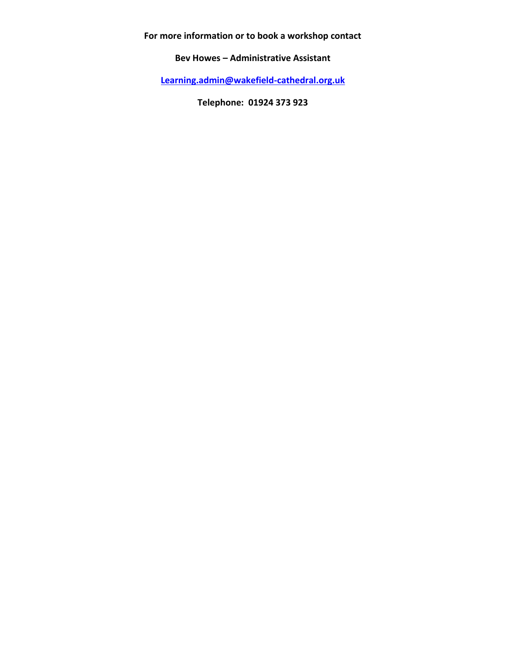**For more information or to book a workshop contact** 

**Bev Howes – Administrative Assistant** 

**[Learning.admin@wakefield-cathedral.org.uk](mailto:Learning.admin@wakefield-cathedral.org.uk)**

**Telephone: 01924 373 923**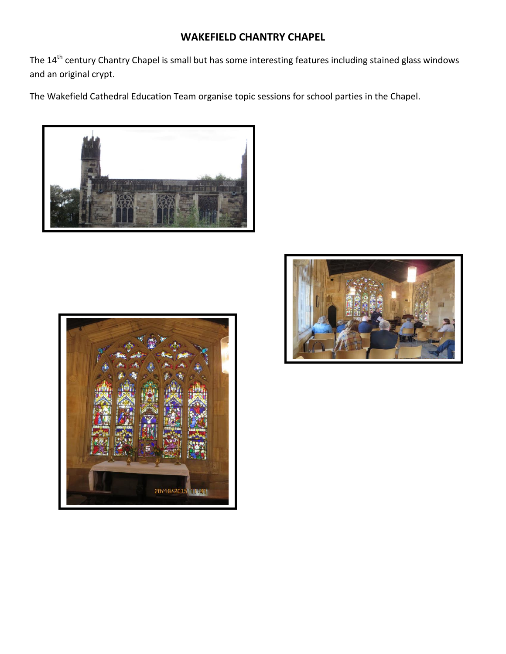# **WAKEFIELD CHANTRY CHAPEL**

The 14<sup>th</sup> century Chantry Chapel is small but has some interesting features including stained glass windows and an original crypt.

The Wakefield Cathedral Education Team organise topic sessions for school parties in the Chapel.





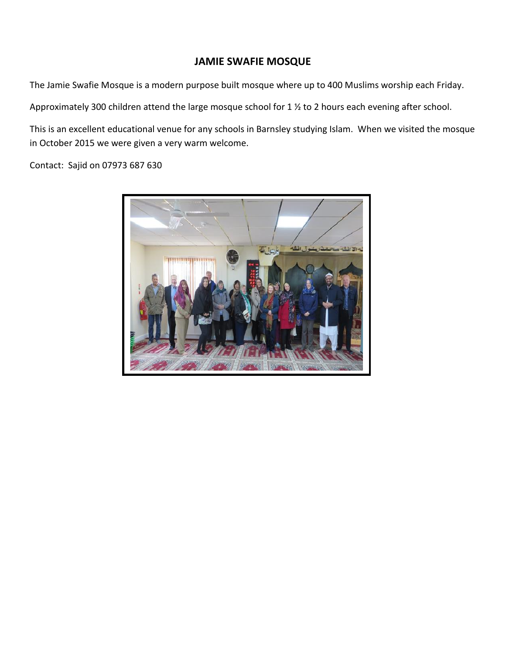# **JAMIE SWAFIE MOSQUE**

The Jamie Swafie Mosque is a modern purpose built mosque where up to 400 Muslims worship each Friday.

Approximately 300 children attend the large mosque school for 1 ½ to 2 hours each evening after school.

This is an excellent educational venue for any schools in Barnsley studying Islam. When we visited the mosque in October 2015 we were given a very warm welcome.

Contact: Sajid on 07973 687 630